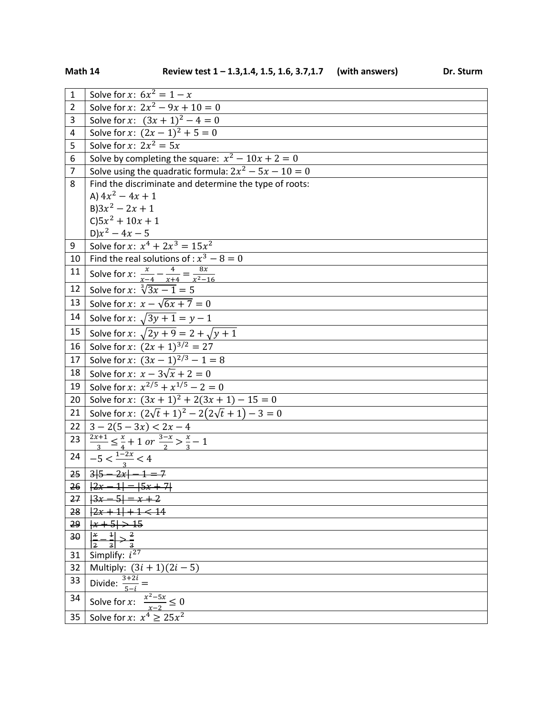| $\mathbf{1}$   | Solve for x: $6x^2 = 1 - x$                                                       |
|----------------|-----------------------------------------------------------------------------------|
| $\overline{2}$ | Solve for x: $2x^2 - 9x + 10 = 0$                                                 |
| 3              | Solve for x: $(3x + 1)^2 - 4 = 0$                                                 |
| $\overline{4}$ | Solve for x: $(2x-1)^2 + 5 = 0$                                                   |
| 5              | Solve for x: $2x^2 = 5x$                                                          |
| 6              | Solve by completing the square: $x^2 - 10x + 2 = 0$                               |
| $\overline{7}$ | Solve using the quadratic formula: $2x^2 - 5x - 10 = 0$                           |
| 8              | Find the discriminate and determine the type of roots:                            |
|                | A) $4x^2 - 4x + 1$                                                                |
|                | $B$ ) $3x^2 - 2x + 1$                                                             |
|                | $C$ ) $5x^2 + 10x + 1$                                                            |
|                | $D)x^2 - 4x - 5$                                                                  |
| 9              | Solve for x: $x^4 + 2x^3 = 15x^2$                                                 |
| 10             | Find the real solutions of : $x^3 - 8 = 0$                                        |
| 11             | Solve for x: $\frac{x}{x-4} - \frac{4}{x+4} = \frac{8x}{x^2-16}$                  |
| 12             | Solve for x: $\sqrt[3]{3x-1} = 5$                                                 |
| 13             | Solve for x: $x - \sqrt{6x + 7} = 0$                                              |
| 14             | Solve for x: $\sqrt{3y + 1} = y - 1$                                              |
| 15             | Solve for x: $\sqrt{2y+9} = 2 + \sqrt{y+1}$                                       |
| 16             | Solve for x: $(2x + 1)^{3/2} = 27$                                                |
| 17             | Solve for x: $(3x - 1)^{2/3} - 1 = 8$                                             |
| 18             | Solve for x: $x - 3\sqrt{x} + 2 = 0$                                              |
| 19             | Solve for x: $x^{2/5} + x^{1/5} - 2 = 0$                                          |
| 20             | Solve for x: $(3x + 1)^2 + 2(3x + 1) - 15 = 0$                                    |
| 21             | Solve for x: $(2\sqrt{t}+1)^2 - 2(2\sqrt{t}+1) - 3 = 0$                           |
| 22             | $3 - 2(5 - 3x) < 2x - 4$                                                          |
| 23             | $\frac{2x+1}{3} \leq \frac{x}{4} + 1 \text{ or } \frac{3-x}{2} > \frac{x}{3} - 1$ |
|                | $\left  -5 < \frac{1-2x}{2} < 4 \right $                                          |
|                | $25 \mid 315 - 2x \mid -1 = 7$                                                    |
| 26             | $\sqrt{ 2x-1 } =  5x+7 $                                                          |
| 27             | $\frac{13x}{2}$<br>$=\frac{x+2}{x+2}$                                             |
| 28             | $ 2x+1 +1<14$                                                                     |
| 29             | $ x+5  > 15$                                                                      |
| 30             | $\overline{2}$<br>$\left  \right $<br>ΙX                                          |
| 31             | Simplify: $i^{27}$                                                                |
| 32             | Multiply: $(3i + 1)(2i - 5)$                                                      |
| 33             | Divide: $\frac{3+2i}{5-i}$ =                                                      |
| 34             | Solve for x: $\frac{x^2-5x}{x-2} \le 0$<br>Solve for x: $x^4 \ge 25x^2$           |
| 35             |                                                                                   |
|                |                                                                                   |